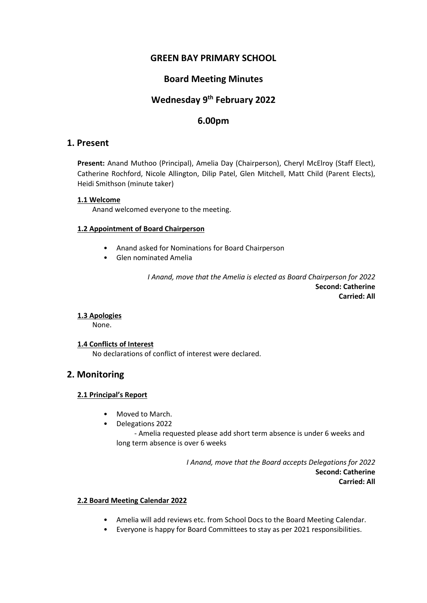# **GREEN BAY PRIMARY SCHOOL**

# **Board Meeting Minutes**

# **Wednesday 9th February 2022**

# **6.00pm**

### **1. Present**

**Present:** Anand Muthoo (Principal), Amelia Day (Chairperson), Cheryl McElroy (Staff Elect), Catherine Rochford, Nicole Allington, Dilip Patel, Glen Mitchell, Matt Child (Parent Elects), Heidi Smithson (minute taker)

#### **1.1 Welcome**

Anand welcomed everyone to the meeting.

#### **1.2 Appointment of Board Chairperson**

- Anand asked for Nominations for Board Chairperson
- Glen nominated Amelia

*I Anand, move that the Amelia is elected as Board Chairperson for 2022* **Second: Catherine Carried: All**

### **1.3 Apologies**

None.

#### **1.4 Conflicts of Interest**

No declarations of conflict of interest were declared.

### **2. Monitoring**

### **2.1 Principal's Report**

- Moved to March.
- Delegations 2022

 - Amelia requested please add short term absence is under 6 weeks and long term absence is over 6 weeks

> *I Anand, move that the Board accepts Delegations for 2022* **Second: Catherine Carried: All**

#### **2.2 Board Meeting Calendar 2022**

- Amelia will add reviews etc. from School Docs to the Board Meeting Calendar.
- Everyone is happy for Board Committees to stay as per 2021 responsibilities.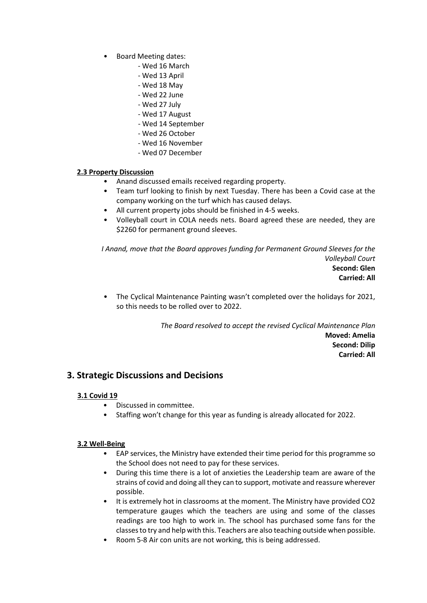- Board Meeting dates:
	- Wed 16 March
	- Wed 13 April
	- Wed 18 May
	- Wed 22 June
	- Wed 27 July
	- Wed 17 August
	- Wed 14 September
	- Wed 26 October
	- Wed 16 November
	- Wed 07 December

### **2.3 Property Discussion**

- Anand discussed emails received regarding property.
- Team turf looking to finish by next Tuesday. There has been a Covid case at the company working on the turf which has caused delays.
- All current property jobs should be finished in 4-5 weeks.
- Volleyball court in COLA needs nets. Board agreed these are needed, they are \$2260 for permanent ground sleeves.

*I Anand, move that the Board approves funding for Permanent Ground Sleeves for the Volleyball Court* **Second: Glen Carried: All**

• The Cyclical Maintenance Painting wasn't completed over the holidays for 2021, so this needs to be rolled over to 2022.

> *The Board resolved to accept the revised Cyclical Maintenance Plan* **Moved: Amelia Second: Dilip Carried: All**

### **3. Strategic Discussions and Decisions**

### **3.1 Covid 19**

- Discussed in committee.
- Staffing won't change for this year as funding is already allocated for 2022.

### **3.2 Well-Being**

- EAP services, the Ministry have extended their time period for this programme so the School does not need to pay for these services.
- During this time there is a lot of anxieties the Leadership team are aware of the strains of covid and doing all they can to support, motivate and reassure wherever possible.
- It is extremely hot in classrooms at the moment. The Ministry have provided CO2 temperature gauges which the teachers are using and some of the classes readings are too high to work in. The school has purchased some fans for the classes to try and help with this. Teachers are also teaching outside when possible.
- Room 5-8 Air con units are not working, this is being addressed.